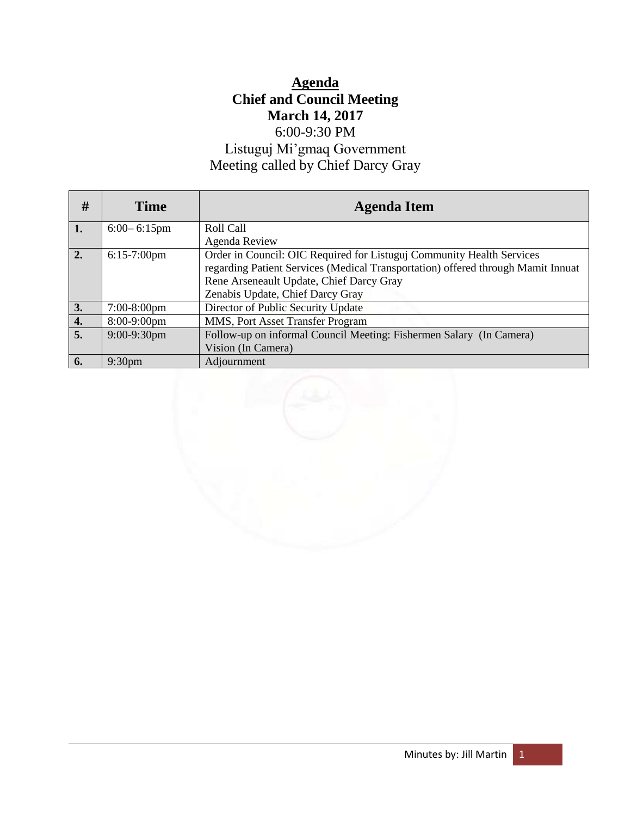# **Agenda Chief and Council Meeting March 14, 2017** 6:00-9:30 PM

# Listuguj Mi'gmaq Government Meeting called by Chief Darcy Gray

| #  | <b>Time</b>        | <b>Agenda Item</b>                                                               |
|----|--------------------|----------------------------------------------------------------------------------|
| 1. | $6:00 - 6:15$ pm   | Roll Call                                                                        |
|    |                    | Agenda Review                                                                    |
| 2. | $6:15-7:00$ pm     | Order in Council: OIC Required for Listuguj Community Health Services            |
|    |                    | regarding Patient Services (Medical Transportation) offered through Mamit Innuat |
|    |                    | Rene Arseneault Update, Chief Darcy Gray                                         |
|    |                    | Zenabis Update, Chief Darcy Gray                                                 |
| 3. | $7:00-8:00$ pm     | Director of Public Security Update                                               |
| 4. | 8:00-9:00pm        | MMS, Port Asset Transfer Program                                                 |
| 5. | $9:00-9:30$ pm     | Follow-up on informal Council Meeting: Fishermen Salary (In Camera)              |
|    |                    | Vision (In Camera)                                                               |
| 6. | 9:30 <sub>pm</sub> | Adjournment                                                                      |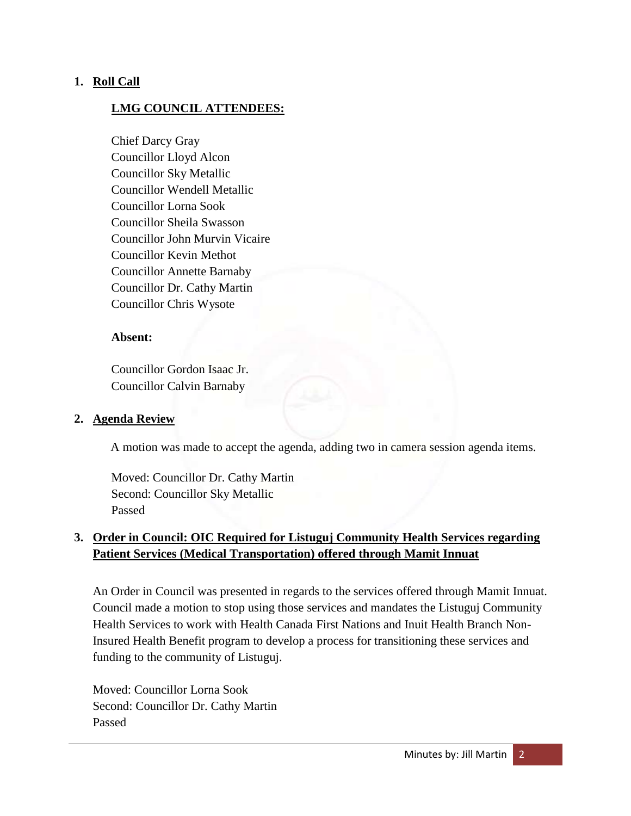# **1. Roll Call**

# **LMG COUNCIL ATTENDEES:**

Chief Darcy Gray Councillor Lloyd Alcon Councillor Sky Metallic Councillor Wendell Metallic Councillor Lorna Sook Councillor Sheila Swasson Councillor John Murvin Vicaire Councillor Kevin Methot Councillor Annette Barnaby Councillor Dr. Cathy Martin Councillor Chris Wysote

#### **Absent:**

Councillor Gordon Isaac Jr. Councillor Calvin Barnaby

#### **2. Agenda Review**

A motion was made to accept the agenda, adding two in camera session agenda items.

Moved: Councillor Dr. Cathy Martin Second: Councillor Sky Metallic Passed

# **3. Order in Council: OIC Required for Listuguj Community Health Services regarding Patient Services (Medical Transportation) offered through Mamit Innuat**

An Order in Council was presented in regards to the services offered through Mamit Innuat. Council made a motion to stop using those services and mandates the Listuguj Community Health Services to work with Health Canada First Nations and Inuit Health Branch Non-Insured Health Benefit program to develop a process for transitioning these services and funding to the community of Listuguj.

Moved: Councillor Lorna Sook Second: Councillor Dr. Cathy Martin Passed